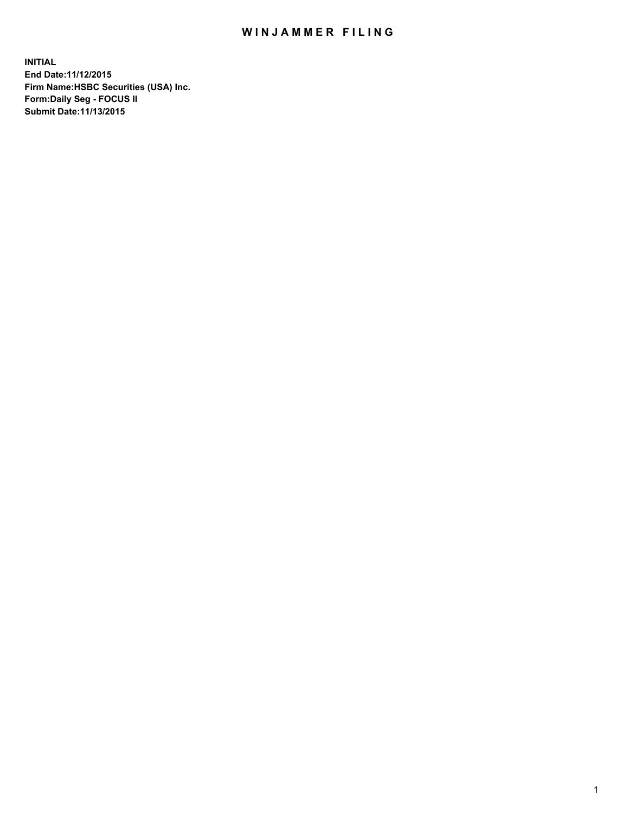## WIN JAMMER FILING

**INITIAL End Date:11/12/2015 Firm Name:HSBC Securities (USA) Inc. Form:Daily Seg - FOCUS II Submit Date:11/13/2015**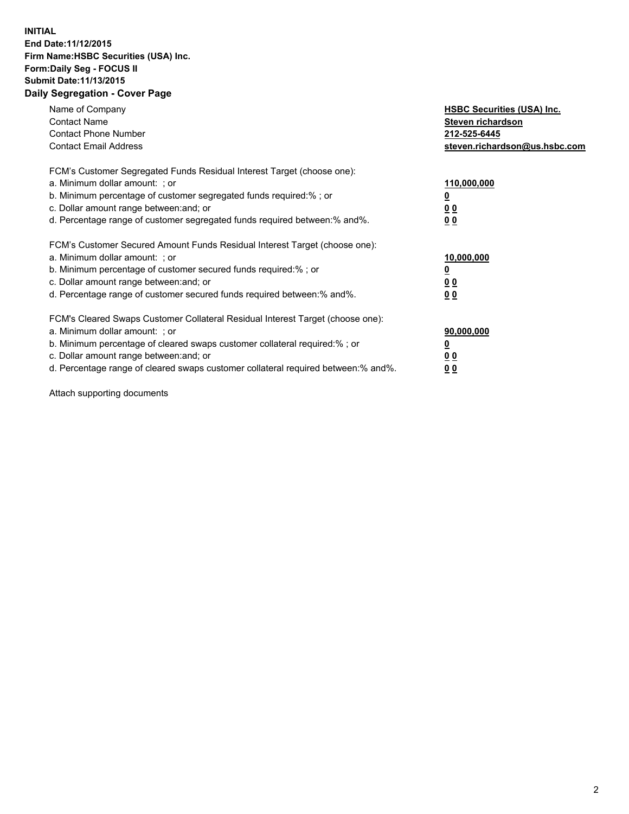## **INITIAL End Date:11/12/2015 Firm Name:HSBC Securities (USA) Inc. Form:Daily Seg - FOCUS II Submit Date:11/13/2015 Daily Segregation - Cover Page**

| Name of Company<br><b>Contact Name</b><br><b>Contact Phone Number</b><br><b>Contact Email Address</b>                                                                                                                                                                                                                          | <b>HSBC Securities (USA) Inc.</b><br>Steven richardson<br>212-525-6445<br>steven.richardson@us.hsbc.com |
|--------------------------------------------------------------------------------------------------------------------------------------------------------------------------------------------------------------------------------------------------------------------------------------------------------------------------------|---------------------------------------------------------------------------------------------------------|
| FCM's Customer Segregated Funds Residual Interest Target (choose one):<br>a. Minimum dollar amount: ; or<br>b. Minimum percentage of customer segregated funds required:%; or<br>c. Dollar amount range between: and; or<br>d. Percentage range of customer segregated funds required between: % and %.                        | 110,000,000<br><u>0</u><br>0 <sub>0</sub><br>0 <sub>0</sub>                                             |
| FCM's Customer Secured Amount Funds Residual Interest Target (choose one):<br>a. Minimum dollar amount: ; or<br>b. Minimum percentage of customer secured funds required:%; or<br>c. Dollar amount range between: and; or<br>d. Percentage range of customer secured funds required between:% and%.                            | 10,000,000<br><u>0</u><br>0 <sub>0</sub><br>0 <sub>0</sub>                                              |
| FCM's Cleared Swaps Customer Collateral Residual Interest Target (choose one):<br>a. Minimum dollar amount: ; or<br>b. Minimum percentage of cleared swaps customer collateral required:% ; or<br>c. Dollar amount range between: and; or<br>d. Percentage range of cleared swaps customer collateral required between:% and%. | 90,000,000<br>0 <sub>0</sub><br>00                                                                      |

Attach supporting documents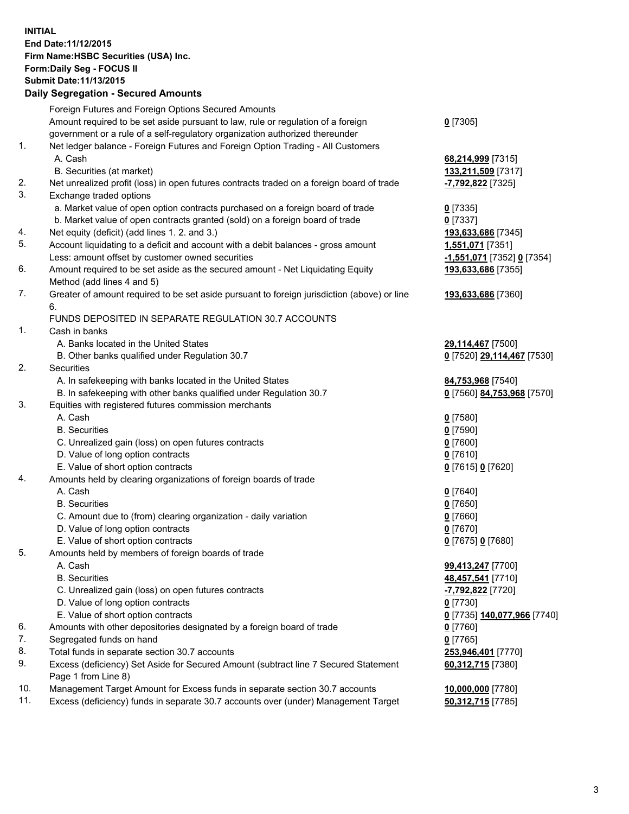**INITIAL End Date:11/12/2015 Firm Name:HSBC Securities (USA) Inc. Form:Daily Seg - FOCUS II Submit Date:11/13/2015 Daily Segregation - Secured Amounts**

## Foreign Futures and Foreign Options Secured Amounts Amount required to be set aside pursuant to law, rule or regulation of a foreign government or a rule of a self-regulatory organization authorized thereunder **0** [7305] 1. Net ledger balance - Foreign Futures and Foreign Option Trading - All Customers A. Cash **68,214,999** [7315] B. Securities (at market) **133,211,509** [7317] 2. Net unrealized profit (loss) in open futures contracts traded on a foreign board of trade **-7,792,822** [7325] 3. Exchange traded options a. Market value of open option contracts purchased on a foreign board of trade **0** [7335] b. Market value of open contracts granted (sold) on a foreign board of trade **0** [7337] 4. Net equity (deficit) (add lines 1. 2. and 3.) **193,633,686** [7345] 5. Account liquidating to a deficit and account with a debit balances - gross amount **1,551,071** [7351] Less: amount offset by customer owned securities **-1,551,071** [7352] **0** [7354] 6. Amount required to be set aside as the secured amount - Net Liquidating Equity Method (add lines 4 and 5) **193,633,686** [7355] 7. Greater of amount required to be set aside pursuant to foreign jurisdiction (above) or line 6. **193,633,686** [7360] FUNDS DEPOSITED IN SEPARATE REGULATION 30.7 ACCOUNTS 1. Cash in banks A. Banks located in the United States **29,114,467** [7500] B. Other banks qualified under Regulation 30.7 **0** [7520] **29,114,467** [7530] 2. Securities A. In safekeeping with banks located in the United States **84,753,968** [7540] B. In safekeeping with other banks qualified under Regulation 30.7 **0** [7560] **84,753,968** [7570] 3. Equities with registered futures commission merchants A. Cash **0** [7580] B. Securities **0** [7590] C. Unrealized gain (loss) on open futures contracts **0** [7600] D. Value of long option contracts **0** [7610] E. Value of short option contracts **0** [7615] **0** [7620] 4. Amounts held by clearing organizations of foreign boards of trade A. Cash **0** [7640] B. Securities **0** [7650] C. Amount due to (from) clearing organization - daily variation **0** [7660] D. Value of long option contracts **0** [7670] E. Value of short option contracts **0** [7675] **0** [7680] 5. Amounts held by members of foreign boards of trade A. Cash **99,413,247** [7700] B. Securities **48,457,541** [7710] C. Unrealized gain (loss) on open futures contracts **-7,792,822** [7720] D. Value of long option contracts **0** [7730] E. Value of short option contracts **0** [7735] **140,077,966** [7740] 6. Amounts with other depositories designated by a foreign board of trade **0** [7760] 7. Segregated funds on hand **0** [7765] 8. Total funds in separate section 30.7 accounts **253,946,401** [7770] 9. Excess (deficiency) Set Aside for Secured Amount (subtract line 7 Secured Statement Page 1 from Line 8) **60,312,715** [7380]

10. Management Target Amount for Excess funds in separate section 30.7 accounts **10,000,000** [7780]

11. Excess (deficiency) funds in separate 30.7 accounts over (under) Management Target **50,312,715** [7785]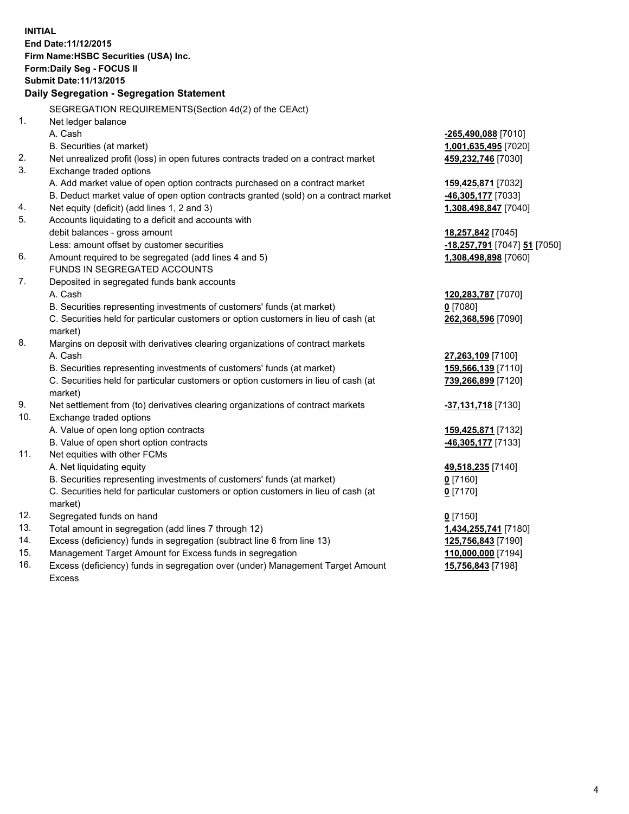**INITIAL End Date:11/12/2015 Firm Name:HSBC Securities (USA) Inc. Form:Daily Seg - FOCUS II Submit Date:11/13/2015 Daily Segregation - Segregation Statement** SEGREGATION REQUIREMENTS(Section 4d(2) of the CEAct) 1. Net ledger balance A. Cash **-265,490,088** [7010] B. Securities (at market) **1,001,635,495** [7020] 2. Net unrealized profit (loss) in open futures contracts traded on a contract market **459,232,746** [7030] 3. Exchange traded options A. Add market value of open option contracts purchased on a contract market **159,425,871** [7032] B. Deduct market value of open option contracts granted (sold) on a contract market **-46,305,177** [7033] 4. Net equity (deficit) (add lines 1, 2 and 3) **1,308,498,847** [7040] 5. Accounts liquidating to a deficit and accounts with debit balances - gross amount **18,257,842** [7045] Less: amount offset by customer securities **-18,257,791** [7047] **51** [7050] 6. Amount required to be segregated (add lines 4 and 5) **1,308,498,898** [7060] FUNDS IN SEGREGATED ACCOUNTS 7. Deposited in segregated funds bank accounts A. Cash **120,283,787** [7070] B. Securities representing investments of customers' funds (at market) **0** [7080] C. Securities held for particular customers or option customers in lieu of cash (at market) **262,368,596** [7090] 8. Margins on deposit with derivatives clearing organizations of contract markets A. Cash **27,263,109** [7100] B. Securities representing investments of customers' funds (at market) **159,566,139** [7110] C. Securities held for particular customers or option customers in lieu of cash (at market) **739,266,899** [7120] 9. Net settlement from (to) derivatives clearing organizations of contract markets **-37,131,718** [7130] 10. Exchange traded options A. Value of open long option contracts **159,425,871** [7132] B. Value of open short option contracts **-46,305,177** [7133] 11. Net equities with other FCMs A. Net liquidating equity **49,518,235** [7140] B. Securities representing investments of customers' funds (at market) **0** [7160] C. Securities held for particular customers or option customers in lieu of cash (at market) **0** [7170] 12. Segregated funds on hand **0** [7150] 13. Total amount in segregation (add lines 7 through 12) **1,434,255,741** [7180] 14. Excess (deficiency) funds in segregation (subtract line 6 from line 13) **125,756,843** [7190] 15. Management Target Amount for Excess funds in segregation **110,000,000** [7194] **15,756,843** [7198]

16. Excess (deficiency) funds in segregation over (under) Management Target Amount Excess